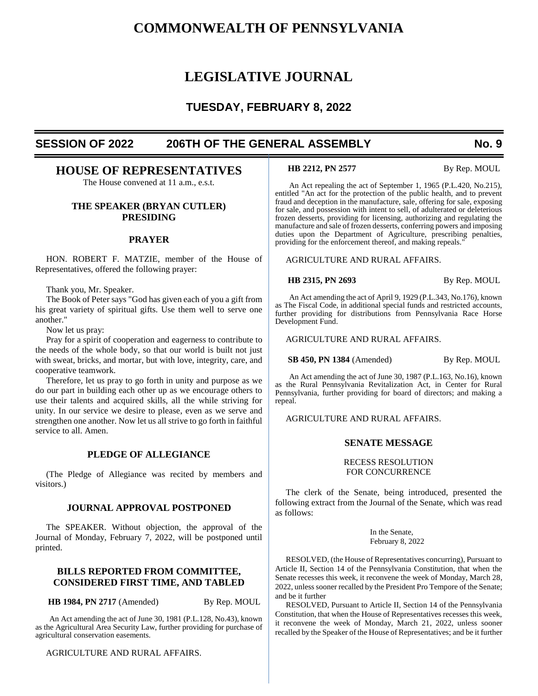# **COMMONWEALTH OF PENNSYLVANIA**

# **LEGISLATIVE JOURNAL**

# **TUESDAY, FEBRUARY 8, 2022**

# **SESSION OF 2022 206TH OF THE GENERAL ASSEMBLY No. 9**

# **HOUSE OF REPRESENTATIVES**

The House convened at 11 a.m., e.s.t.

# **THE SPEAKER (BRYAN CUTLER) PRESIDING**

## **PRAYER**

HON. ROBERT F. MATZIE, member of the House of Representatives, offered the following prayer:

Thank you, Mr. Speaker.

The Book of Peter says "God has given each of you a gift from his great variety of spiritual gifts. Use them well to serve one another."

Now let us pray:

Pray for a spirit of cooperation and eagerness to contribute to the needs of the whole body, so that our world is built not just with sweat, bricks, and mortar, but with love, integrity, care, and cooperative teamwork.

Therefore, let us pray to go forth in unity and purpose as we do our part in building each other up as we encourage others to use their talents and acquired skills, all the while striving for unity. In our service we desire to please, even as we serve and strengthen one another. Now let us all strive to go forth in faithful service to all. Amen.

# **PLEDGE OF ALLEGIANCE**

(The Pledge of Allegiance was recited by members and visitors.)

# **JOURNAL APPROVAL POSTPONED**

The SPEAKER. Without objection, the approval of the Journal of Monday, February 7, 2022, will be postponed until printed.

# **BILLS REPORTED FROM COMMITTEE, CONSIDERED FIRST TIME, AND TABLED**

**HB 1984, PN 2717** (Amended) By Rep. MOUL

An Act amending the act of June 30, 1981 (P.L.128, No.43), known as the Agricultural Area Security Law, further providing for purchase of agricultural conservation easements.

AGRICULTURE AND RURAL AFFAIRS.

**HB 2212, PN 2577** By Rep. MOUL

An Act repealing the act of September 1, 1965 (P.L.420, No.215), entitled "An act for the protection of the public health, and to prevent fraud and deception in the manufacture, sale, offering for sale, exposing for sale, and possession with intent to sell, of adulterated or deleterious frozen desserts, providing for licensing, authorizing and regulating the manufacture and sale of frozen desserts, conferring powers and imposing duties upon the Department of Agriculture, prescribing penalties, providing for the enforcement thereof, and making repeals."

AGRICULTURE AND RURAL AFFAIRS.

**HB 2315, PN 2693** By Rep. MOUL

An Act amending the act of April 9, 1929 (P.L.343, No.176), known as The Fiscal Code, in additional special funds and restricted accounts, further providing for distributions from Pennsylvania Race Horse Development Fund.

AGRICULTURE AND RURAL AFFAIRS.

**SB 450, PN 1384** (Amended) By Rep. MOUL

An Act amending the act of June 30, 1987 (P.L.163, No.16), known as the Rural Pennsylvania Revitalization Act, in Center for Rural Pennsylvania, further providing for board of directors; and making a repeal.

AGRICULTURE AND RURAL AFFAIRS.

# **SENATE MESSAGE**

#### RECESS RESOLUTION FOR CONCURRENCE

The clerk of the Senate, being introduced, presented the following extract from the Journal of the Senate, which was read as follows:

> In the Senate, February 8, 2022

RESOLVED, (the House of Representatives concurring), Pursuant to Article II, Section 14 of the Pennsylvania Constitution, that when the Senate recesses this week, it reconvene the week of Monday, March 28, 2022, unless sooner recalled by the President Pro Tempore of the Senate; and be it further

RESOLVED, Pursuant to Article II, Section 14 of the Pennsylvania Constitution, that when the House of Representatives recesses this week, it reconvene the week of Monday, March 21, 2022, unless sooner recalled by the Speaker of the House of Representatives; and be it further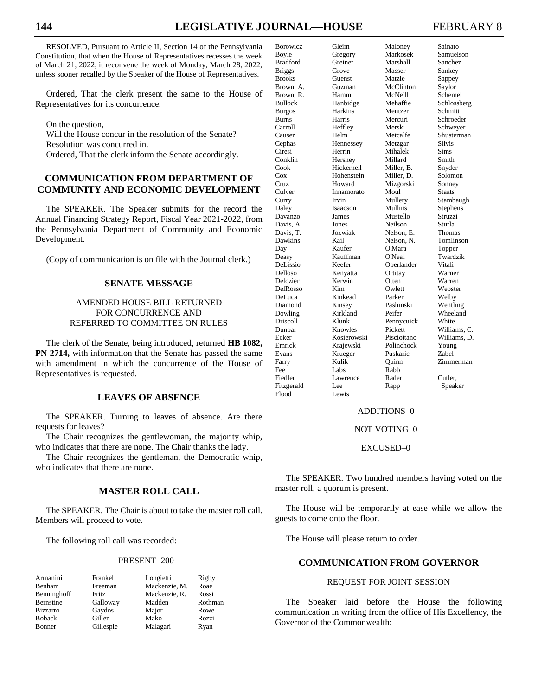# **144 LEGISLATIVE JOURNAL—HOUSE** FEBRUARY 8

RESOLVED, Pursuant to Article II, Section 14 of the Pennsylvania Constitution, that when the House of Representatives recesses the week of March 21, 2022, it reconvene the week of Monday, March 28, 2022, unless sooner recalled by the Speaker of the House of Representatives.

Ordered, That the clerk present the same to the House of Representatives for its concurrence.

On the question, Will the House concur in the resolution of the Senate? Resolution was concurred in. Ordered, That the clerk inform the Senate accordingly.

# **COMMUNICATION FROM DEPARTMENT OF COMMUNITY AND ECONOMIC DEVELOPMENT**

The SPEAKER. The Speaker submits for the record the Annual Financing Strategy Report, Fiscal Year 2021-2022, from the Pennsylvania Department of Community and Economic Development.

(Copy of communication is on file with the Journal clerk.)

# **SENATE MESSAGE**

# AMENDED HOUSE BILL RETURNED FOR CONCURRENCE AND REFERRED TO COMMITTEE ON RULES

The clerk of the Senate, being introduced, returned **HB 1082, PN 2714,** with information that the Senate has passed the same with amendment in which the concurrence of the House of Representatives is requested.

# **LEAVES OF ABSENCE**

The SPEAKER. Turning to leaves of absence. Are there requests for leaves?

The Chair recognizes the gentlewoman, the majority whip, who indicates that there are none. The Chair thanks the lady.

The Chair recognizes the gentleman, the Democratic whip, who indicates that there are none.

# **MASTER ROLL CALL**

The SPEAKER. The Chair is about to take the master roll call. Members will proceed to vote.

The following roll call was recorded:

#### PRESENT–200

| Armanini         | Frankel   | Longietti     | Rigby   |
|------------------|-----------|---------------|---------|
| Benham           | Freeman   | Mackenzie, M. | Roae    |
| Benninghoff      | Fritz     | Mackenzie, R. | Rossi   |
| <b>Bernstine</b> | Galloway  | Madden        | Rothman |
| <b>Bizzarro</b>  | Gaydos    | Major         | Rowe    |
| <b>Boback</b>    | Gillen    | Mako          | Rozzi   |
| Bonner           | Gillespie | Malagari      | Ryan    |

| <b>Borowicz</b> | Gleim          | Maloney     | Sainato       |
|-----------------|----------------|-------------|---------------|
| Boyle           | Gregory        | Markosek    | Samuelson     |
| <b>Bradford</b> | Greiner        | Marshall    | Sanchez       |
| <b>Briggs</b>   | Grove          | Masser      | Sankey        |
| <b>Brooks</b>   | Guenst         | Matzie      | Sappey        |
| Brown, A.       | Guzman         | McClinton   | Saylor        |
| Brown, R.       | Hamm           | McNeill     | Schemel       |
| <b>Bullock</b>  | Hanbidge       | Mehaffie    | Schlossberg   |
| <b>Burgos</b>   | <b>Harkins</b> | Mentzer     | Schmitt       |
| <b>Burns</b>    | Harris         | Mercuri     | Schroeder     |
| Carroll         | Heffley        | Merski      | Schweyer      |
| Causer          | Helm           | Metcalfe    | Shusterman    |
| Cephas          | Hennessey      | Metzgar     | Silvis        |
| Ciresi          | Herrin         | Mihalek     | Sims          |
| Conklin         | Hershey        | Millard     | Smith         |
| Cook            | Hickernell     | Miller, B.  | Snyder        |
| $\cos$          | Hohenstein     | Miller, D.  | Solomon       |
| Cruz            | Howard         | Mizgorski   | Sonney        |
| Culver          | Innamorato     | Moul        | <b>Staats</b> |
| Curry           | Irvin          | Mullery     | Stambaugh     |
| Daley           | Isaacson       | Mullins     | Stephens      |
| Davanzo         | James          | Mustello    | Struzzi       |
| Davis. A.       | Jones          | Neilson     | Sturla        |
| Davis, T.       | Jozwiak        | Nelson. E.  | Thomas        |
| Dawkins         | Kail           | Nelson. N.  | Tomlinson     |
| Day             | Kaufer         | O'Mara      | Topper        |
| Deasy           | Kauffman       | O'Neal      | Twardzik      |
| DeLissio        | Keefer         | Oberlander  | Vitali        |
| Delloso         | Kenyatta       | Ortitay     | Warner        |
| Delozier        | Kerwin         | Otten       | Warren        |
| DelRosso        | Kim            | Owlett      | Webster       |
| DeLuca          | Kinkead        | Parker      | Welby         |
| Diamond         | Kinsey         | Pashinski   | Wentling      |
| Dowling         | Kirkland       | Peifer      | Wheeland      |
| Driscoll        | Klunk          | Pennycuick  | White         |
| Dunbar          | Knowles        | Pickett     | Williams, C.  |
| Ecker           | Kosierowski    | Pisciottano | Williams, D.  |
| Emrick          | Krajewski      | Polinchock  | Young         |
| Evans           | Krueger        | Puskaric    | Zabel         |
| Farry           | Kulik          | Ouinn       | Zimmerman     |
| Fee             | Labs           | Rabb        |               |
| Fiedler         | Lawrence       | Rader       | Cutler,       |
| Fitzgerald      | Lee            | Rapp        | Speaker       |
| Flood           | Lewis          |             |               |

### ADDITIONS–0

#### NOT VOTING–0

#### EXCUSED–0

The SPEAKER. Two hundred members having voted on the master roll, a quorum is present.

The House will be temporarily at ease while we allow the guests to come onto the floor.

The House will please return to order.

# **COMMUNICATION FROM GOVERNOR**

#### REQUEST FOR JOINT SESSION

The Speaker laid before the House the following communication in writing from the office of His Excellency, the Governor of the Commonwealth: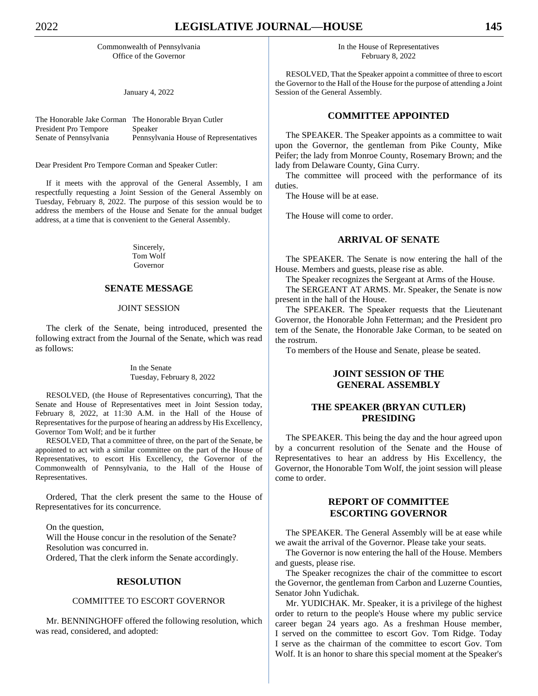Commonwealth of Pennsylvania Office of the Governor

January 4, 2022

| The Honorable Jake Corman The Honorable Bryan Cutler |                                       |
|------------------------------------------------------|---------------------------------------|
| President Pro Tempore                                | Speaker                               |
| Senate of Pennsylvania                               | Pennsylvania House of Representatives |

Dear President Pro Tempore Corman and Speaker Cutler:

If it meets with the approval of the General Assembly, I am respectfully requesting a Joint Session of the General Assembly on Tuesday, February 8, 2022. The purpose of this session would be to address the members of the House and Senate for the annual budget address, at a time that is convenient to the General Assembly.

> Sincerely, Tom Wolf Governor

# **SENATE MESSAGE**

#### JOINT SESSION

The clerk of the Senate, being introduced, presented the following extract from the Journal of the Senate, which was read as follows:

#### In the Senate Tuesday, February 8, 2022

RESOLVED, (the House of Representatives concurring), That the Senate and House of Representatives meet in Joint Session today, February 8, 2022, at 11:30 A.M. in the Hall of the House of Representatives for the purpose of hearing an address by His Excellency, Governor Tom Wolf; and be it further

RESOLVED, That a committee of three, on the part of the Senate, be appointed to act with a similar committee on the part of the House of Representatives, to escort His Excellency, the Governor of the Commonwealth of Pennsylvania, to the Hall of the House of Representatives.

Ordered, That the clerk present the same to the House of Representatives for its concurrence.

On the question,

Will the House concur in the resolution of the Senate? Resolution was concurred in.

Ordered, That the clerk inform the Senate accordingly.

#### **RESOLUTION**

#### COMMITTEE TO ESCORT GOVERNOR

Mr. BENNINGHOFF offered the following resolution, which was read, considered, and adopted:

In the House of Representatives February 8, 2022

RESOLVED, That the Speaker appoint a committee of three to escort the Governor to the Hall of the House for the purpose of attending a Joint Session of the General Assembly.

# **COMMITTEE APPOINTED**

The SPEAKER. The Speaker appoints as a committee to wait upon the Governor, the gentleman from Pike County, Mike Peifer; the lady from Monroe County, Rosemary Brown; and the lady from Delaware County, Gina Curry.

The committee will proceed with the performance of its duties.

The House will be at ease.

The House will come to order.

# **ARRIVAL OF SENATE**

The SPEAKER. The Senate is now entering the hall of the House. Members and guests, please rise as able.

The Speaker recognizes the Sergeant at Arms of the House.

The SERGEANT AT ARMS. Mr. Speaker, the Senate is now present in the hall of the House.

The SPEAKER. The Speaker requests that the Lieutenant Governor, the Honorable John Fetterman; and the President pro tem of the Senate, the Honorable Jake Corman, to be seated on the rostrum.

To members of the House and Senate, please be seated.

# **JOINT SESSION OF THE GENERAL ASSEMBLY**

# **THE SPEAKER (BRYAN CUTLER) PRESIDING**

The SPEAKER. This being the day and the hour agreed upon by a concurrent resolution of the Senate and the House of Representatives to hear an address by His Excellency, the Governor, the Honorable Tom Wolf, the joint session will please come to order.

# **REPORT OF COMMITTEE ESCORTING GOVERNOR**

The SPEAKER. The General Assembly will be at ease while we await the arrival of the Governor. Please take your seats.

The Governor is now entering the hall of the House. Members and guests, please rise.

The Speaker recognizes the chair of the committee to escort the Governor, the gentleman from Carbon and Luzerne Counties, Senator John Yudichak.

Mr. YUDICHAK. Mr. Speaker, it is a privilege of the highest order to return to the people's House where my public service career began 24 years ago. As a freshman House member, I served on the committee to escort Gov. Tom Ridge. Today I serve as the chairman of the committee to escort Gov. Tom Wolf. It is an honor to share this special moment at the Speaker's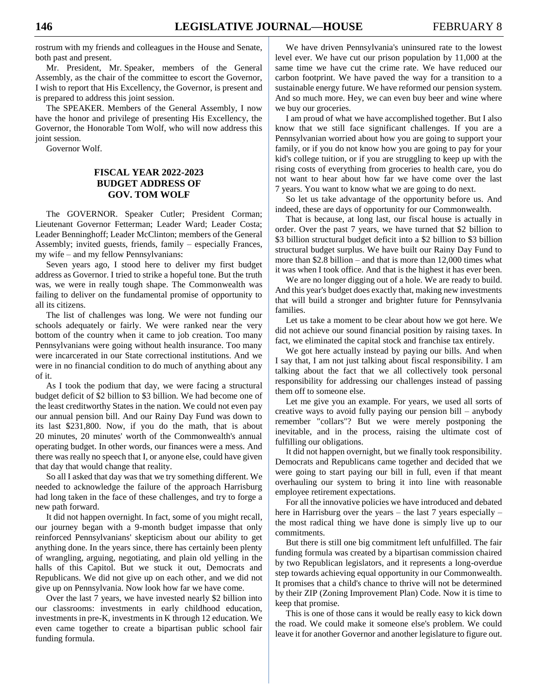rostrum with my friends and colleagues in the House and Senate, both past and present.

Mr. President, Mr. Speaker, members of the General Assembly, as the chair of the committee to escort the Governor, I wish to report that His Excellency, the Governor, is present and is prepared to address this joint session.

The SPEAKER. Members of the General Assembly, I now have the honor and privilege of presenting His Excellency, the Governor, the Honorable Tom Wolf, who will now address this joint session.

Governor Wolf.

# **FISCAL YEAR 2022-2023 BUDGET ADDRESS OF GOV. TOM WOLF**

The GOVERNOR. Speaker Cutler; President Corman; Lieutenant Governor Fetterman; Leader Ward; Leader Costa; Leader Benninghoff; Leader McClinton; members of the General Assembly; invited guests, friends, family – especially Frances, my wife – and my fellow Pennsylvanians:

Seven years ago, I stood here to deliver my first budget address as Governor. I tried to strike a hopeful tone. But the truth was, we were in really tough shape. The Commonwealth was failing to deliver on the fundamental promise of opportunity to all its citizens.

The list of challenges was long. We were not funding our schools adequately or fairly. We were ranked near the very bottom of the country when it came to job creation. Too many Pennsylvanians were going without health insurance. Too many were incarcerated in our State correctional institutions. And we were in no financial condition to do much of anything about any of it.

As I took the podium that day, we were facing a structural budget deficit of \$2 billion to \$3 billion. We had become one of the least creditworthy States in the nation. We could not even pay our annual pension bill. And our Rainy Day Fund was down to its last \$231,800. Now, if you do the math, that is about 20 minutes, 20 minutes' worth of the Commonwealth's annual operating budget. In other words, our finances were a mess. And there was really no speech that I, or anyone else, could have given that day that would change that reality.

So all I asked that day was that we try something different. We needed to acknowledge the failure of the approach Harrisburg had long taken in the face of these challenges, and try to forge a new path forward.

It did not happen overnight. In fact, some of you might recall, our journey began with a 9-month budget impasse that only reinforced Pennsylvanians' skepticism about our ability to get anything done. In the years since, there has certainly been plenty of wrangling, arguing, negotiating, and plain old yelling in the halls of this Capitol. But we stuck it out, Democrats and Republicans. We did not give up on each other, and we did not give up on Pennsylvania. Now look how far we have come.

Over the last 7 years, we have invested nearly \$2 billion into our classrooms: investments in early childhood education, investments in pre-K, investments in K through 12 education. We even came together to create a bipartisan public school fair funding formula.

We have driven Pennsylvania's uninsured rate to the lowest level ever. We have cut our prison population by 11,000 at the same time we have cut the crime rate. We have reduced our carbon footprint. We have paved the way for a transition to a sustainable energy future. We have reformed our pension system. And so much more. Hey, we can even buy beer and wine where we buy our groceries.

I am proud of what we have accomplished together. But I also know that we still face significant challenges. If you are a Pennsylvanian worried about how you are going to support your family, or if you do not know how you are going to pay for your kid's college tuition, or if you are struggling to keep up with the rising costs of everything from groceries to health care, you do not want to hear about how far we have come over the last 7 years. You want to know what we are going to do next.

So let us take advantage of the opportunity before us. And indeed, these are days of opportunity for our Commonwealth.

That is because, at long last, our fiscal house is actually in order. Over the past 7 years, we have turned that \$2 billion to \$3 billion structural budget deficit into a \$2 billion to \$3 billion structural budget surplus. We have built our Rainy Day Fund to more than \$2.8 billion – and that is more than 12,000 times what it was when I took office. And that is the highest it has ever been.

We are no longer digging out of a hole. We are ready to build. And this year's budget does exactly that, making new investments that will build a stronger and brighter future for Pennsylvania families.

Let us take a moment to be clear about how we got here. We did not achieve our sound financial position by raising taxes. In fact, we eliminated the capital stock and franchise tax entirely.

We got here actually instead by paying our bills. And when I say that, I am not just talking about fiscal responsibility. I am talking about the fact that we all collectively took personal responsibility for addressing our challenges instead of passing them off to someone else.

Let me give you an example. For years, we used all sorts of creative ways to avoid fully paying our pension bill – anybody remember "collars"? But we were merely postponing the inevitable, and in the process, raising the ultimate cost of fulfilling our obligations.

It did not happen overnight, but we finally took responsibility. Democrats and Republicans came together and decided that we were going to start paying our bill in full, even if that meant overhauling our system to bring it into line with reasonable employee retirement expectations.

For all the innovative policies we have introduced and debated here in Harrisburg over the years – the last 7 years especially – the most radical thing we have done is simply live up to our commitments.

But there is still one big commitment left unfulfilled. The fair funding formula was created by a bipartisan commission chaired by two Republican legislators, and it represents a long-overdue step towards achieving equal opportunity in our Commonwealth. It promises that a child's chance to thrive will not be determined by their ZIP (Zoning Improvement Plan) Code. Now it is time to keep that promise.

This is one of those cans it would be really easy to kick down the road. We could make it someone else's problem. We could leave it for another Governor and another legislature to figure out.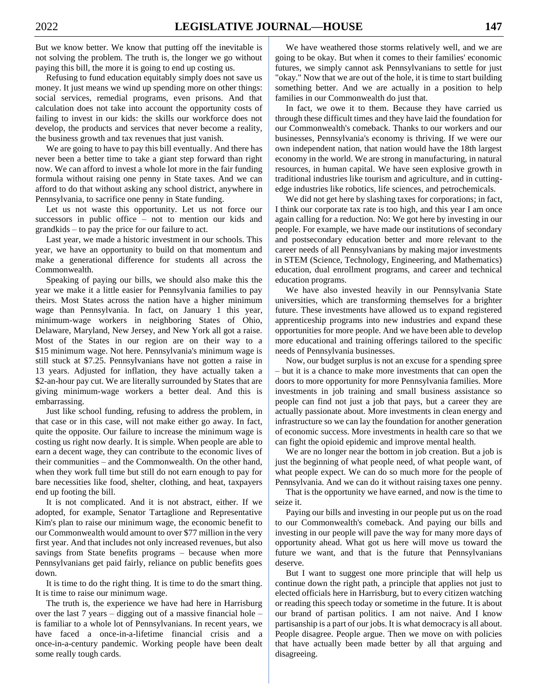But we know better. We know that putting off the inevitable is not solving the problem. The truth is, the longer we go without paying this bill, the more it is going to end up costing us.

Refusing to fund education equitably simply does not save us money. It just means we wind up spending more on other things: social services, remedial programs, even prisons. And that calculation does not take into account the opportunity costs of failing to invest in our kids: the skills our workforce does not develop, the products and services that never become a reality, the business growth and tax revenues that just vanish.

We are going to have to pay this bill eventually. And there has never been a better time to take a giant step forward than right now. We can afford to invest a whole lot more in the fair funding formula without raising one penny in State taxes. And we can afford to do that without asking any school district, anywhere in Pennsylvania, to sacrifice one penny in State funding.

Let us not waste this opportunity. Let us not force our successors in public office – not to mention our kids and grandkids – to pay the price for our failure to act.

Last year, we made a historic investment in our schools. This year, we have an opportunity to build on that momentum and make a generational difference for students all across the Commonwealth.

Speaking of paying our bills, we should also make this the year we make it a little easier for Pennsylvania families to pay theirs. Most States across the nation have a higher minimum wage than Pennsylvania. In fact, on January 1 this year, minimum-wage workers in neighboring States of Ohio, Delaware, Maryland, New Jersey, and New York all got a raise. Most of the States in our region are on their way to a \$15 minimum wage. Not here. Pennsylvania's minimum wage is still stuck at \$7.25. Pennsylvanians have not gotten a raise in 13 years. Adjusted for inflation, they have actually taken a \$2-an-hour pay cut. We are literally surrounded by States that are giving minimum-wage workers a better deal. And this is embarrassing.

Just like school funding, refusing to address the problem, in that case or in this case, will not make either go away. In fact, quite the opposite. Our failure to increase the minimum wage is costing us right now dearly. It is simple. When people are able to earn a decent wage, they can contribute to the economic lives of their communities – and the Commonwealth. On the other hand, when they work full time but still do not earn enough to pay for bare necessities like food, shelter, clothing, and heat, taxpayers end up footing the bill.

It is not complicated. And it is not abstract, either. If we adopted, for example, Senator Tartaglione and Representative Kim's plan to raise our minimum wage, the economic benefit to our Commonwealth would amount to over \$77 million in the very first year. And that includes not only increased revenues, but also savings from State benefits programs – because when more Pennsylvanians get paid fairly, reliance on public benefits goes down.

It is time to do the right thing. It is time to do the smart thing. It is time to raise our minimum wage.

The truth is, the experience we have had here in Harrisburg over the last 7 years – digging out of a massive financial hole – is familiar to a whole lot of Pennsylvanians. In recent years, we have faced a once-in-a-lifetime financial crisis and a once-in-a-century pandemic. Working people have been dealt some really tough cards.

We have weathered those storms relatively well, and we are going to be okay. But when it comes to their families' economic futures, we simply cannot ask Pennsylvanians to settle for just "okay." Now that we are out of the hole, it is time to start building something better. And we are actually in a position to help families in our Commonwealth do just that.

In fact, we owe it to them. Because they have carried us through these difficult times and they have laid the foundation for our Commonwealth's comeback. Thanks to our workers and our businesses, Pennsylvania's economy is thriving. If we were our own independent nation, that nation would have the 18th largest economy in the world. We are strong in manufacturing, in natural resources, in human capital. We have seen explosive growth in traditional industries like tourism and agriculture, and in cuttingedge industries like robotics, life sciences, and petrochemicals.

We did not get here by slashing taxes for corporations; in fact, I think our corporate tax rate is too high, and this year I am once again calling for a reduction. No: We got here by investing in our people. For example, we have made our institutions of secondary and postsecondary education better and more relevant to the career needs of all Pennsylvanians by making major investments in STEM (Science, Technology, Engineering, and Mathematics) education, dual enrollment programs, and career and technical education programs.

We have also invested heavily in our Pennsylvania State universities, which are transforming themselves for a brighter future. These investments have allowed us to expand registered apprenticeship programs into new industries and expand these opportunities for more people. And we have been able to develop more educational and training offerings tailored to the specific needs of Pennsylvania businesses.

Now, our budget surplus is not an excuse for a spending spree – but it is a chance to make more investments that can open the doors to more opportunity for more Pennsylvania families. More investments in job training and small business assistance so people can find not just a job that pays, but a career they are actually passionate about. More investments in clean energy and infrastructure so we can lay the foundation for another generation of economic success. More investments in health care so that we can fight the opioid epidemic and improve mental health.

We are no longer near the bottom in job creation. But a job is just the beginning of what people need, of what people want, of what people expect. We can do so much more for the people of Pennsylvania. And we can do it without raising taxes one penny.

That is the opportunity we have earned, and now is the time to seize it.

Paying our bills and investing in our people put us on the road to our Commonwealth's comeback. And paying our bills and investing in our people will pave the way for many more days of opportunity ahead. What got us here will move us toward the future we want, and that is the future that Pennsylvanians deserve.

But I want to suggest one more principle that will help us continue down the right path, a principle that applies not just to elected officials here in Harrisburg, but to every citizen watching or reading this speech today or sometime in the future. It is about our brand of partisan politics. I am not naive. And I know partisanship is a part of our jobs. It is what democracy is all about. People disagree. People argue. Then we move on with policies that have actually been made better by all that arguing and disagreeing.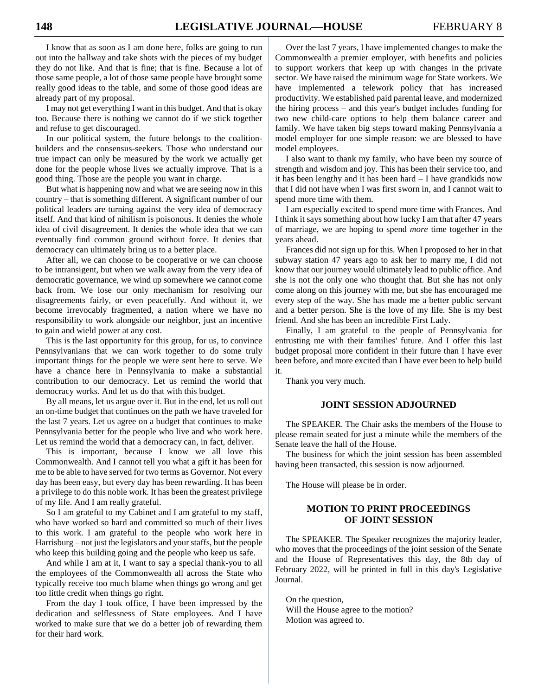I know that as soon as I am done here, folks are going to run out into the hallway and take shots with the pieces of my budget they do not like. And that is fine; that is fine. Because a lot of those same people, a lot of those same people have brought some really good ideas to the table, and some of those good ideas are already part of my proposal.

I may not get everything I want in this budget. And that is okay too. Because there is nothing we cannot do if we stick together and refuse to get discouraged.

In our political system, the future belongs to the coalitionbuilders and the consensus-seekers. Those who understand our true impact can only be measured by the work we actually get done for the people whose lives we actually improve. That is a good thing. Those are the people you want in charge.

But what is happening now and what we are seeing now in this country – that is something different. A significant number of our political leaders are turning against the very idea of democracy itself. And that kind of nihilism is poisonous. It denies the whole idea of civil disagreement. It denies the whole idea that we can eventually find common ground without force. It denies that democracy can ultimately bring us to a better place.

After all, we can choose to be cooperative or we can choose to be intransigent, but when we walk away from the very idea of democratic governance, we wind up somewhere we cannot come back from. We lose our only mechanism for resolving our disagreements fairly, or even peacefully. And without it, we become irrevocably fragmented, a nation where we have no responsibility to work alongside our neighbor, just an incentive to gain and wield power at any cost.

This is the last opportunity for this group, for us, to convince Pennsylvanians that we can work together to do some truly important things for the people we were sent here to serve. We have a chance here in Pennsylvania to make a substantial contribution to our democracy. Let us remind the world that democracy works. And let us do that with this budget.

By all means, let us argue over it. But in the end, let us roll out an on-time budget that continues on the path we have traveled for the last 7 years. Let us agree on a budget that continues to make Pennsylvania better for the people who live and who work here. Let us remind the world that a democracy can, in fact, deliver.

This is important, because I know we all love this Commonwealth. And I cannot tell you what a gift it has been for me to be able to have served for two terms as Governor. Not every day has been easy, but every day has been rewarding. It has been a privilege to do this noble work. It has been the greatest privilege of my life. And I am really grateful.

So I am grateful to my Cabinet and I am grateful to my staff, who have worked so hard and committed so much of their lives to this work. I am grateful to the people who work here in Harrisburg – not just the legislators and your staffs, but the people who keep this building going and the people who keep us safe.

And while I am at it, I want to say a special thank-you to all the employees of the Commonwealth all across the State who typically receive too much blame when things go wrong and get too little credit when things go right.

From the day I took office, I have been impressed by the dedication and selflessness of State employees. And I have worked to make sure that we do a better job of rewarding them for their hard work.

Over the last 7 years, I have implemented changes to make the Commonwealth a premier employer, with benefits and policies to support workers that keep up with changes in the private sector. We have raised the minimum wage for State workers. We have implemented a telework policy that has increased productivity. We established paid parental leave, and modernized the hiring process – and this year's budget includes funding for two new child-care options to help them balance career and family. We have taken big steps toward making Pennsylvania a model employer for one simple reason: we are blessed to have model employees.

I also want to thank my family, who have been my source of strength and wisdom and joy. This has been their service too, and it has been lengthy and it has been hard – I have grandkids now that I did not have when I was first sworn in, and I cannot wait to spend more time with them.

I am especially excited to spend more time with Frances. And I think it says something about how lucky I am that after 47 years of marriage, we are hoping to spend *more* time together in the years ahead.

Frances did not sign up for this. When I proposed to her in that subway station 47 years ago to ask her to marry me, I did not know that our journey would ultimately lead to public office. And she is not the only one who thought that. But she has not only come along on this journey with me, but she has encouraged me every step of the way. She has made me a better public servant and a better person. She is the love of my life. She is my best friend. And she has been an incredible First Lady.

Finally, I am grateful to the people of Pennsylvania for entrusting me with their families' future. And I offer this last budget proposal more confident in their future than I have ever been before, and more excited than I have ever been to help build it.

Thank you very much.

# **JOINT SESSION ADJOURNED**

The SPEAKER. The Chair asks the members of the House to please remain seated for just a minute while the members of the Senate leave the hall of the House.

The business for which the joint session has been assembled having been transacted, this session is now adjourned.

The House will please be in order.

# **MOTION TO PRINT PROCEEDINGS OF JOINT SESSION**

The SPEAKER. The Speaker recognizes the majority leader, who moves that the proceedings of the joint session of the Senate and the House of Representatives this day, the 8th day of February 2022, will be printed in full in this day's Legislative Journal.

On the question, Will the House agree to the motion? Motion was agreed to.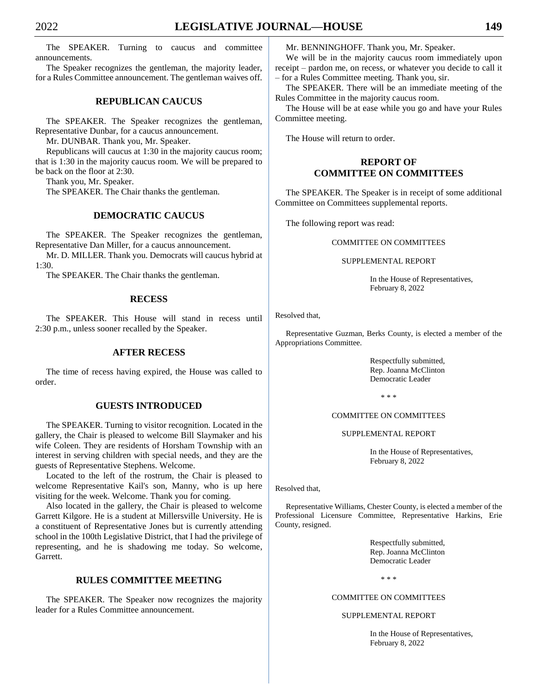The SPEAKER. Turning to caucus and committee announcements.

The Speaker recognizes the gentleman, the majority leader, for a Rules Committee announcement. The gentleman waives off.

# **REPUBLICAN CAUCUS**

The SPEAKER. The Speaker recognizes the gentleman, Representative Dunbar, for a caucus announcement.

Mr. DUNBAR. Thank you, Mr. Speaker.

Republicans will caucus at 1:30 in the majority caucus room; that is 1:30 in the majority caucus room. We will be prepared to be back on the floor at 2:30.

Thank you, Mr. Speaker.

The SPEAKER. The Chair thanks the gentleman.

# **DEMOCRATIC CAUCUS**

The SPEAKER. The Speaker recognizes the gentleman, Representative Dan Miller, for a caucus announcement.

Mr. D. MILLER. Thank you. Democrats will caucus hybrid at 1:30.

The SPEAKER. The Chair thanks the gentleman.

#### **RECESS**

The SPEAKER. This House will stand in recess until 2:30 p.m., unless sooner recalled by the Speaker.

# **AFTER RECESS**

The time of recess having expired, the House was called to order.

# **GUESTS INTRODUCED**

The SPEAKER. Turning to visitor recognition. Located in the gallery, the Chair is pleased to welcome Bill Slaymaker and his wife Coleen. They are residents of Horsham Township with an interest in serving children with special needs, and they are the guests of Representative Stephens. Welcome.

Located to the left of the rostrum, the Chair is pleased to welcome Representative Kail's son, Manny, who is up here visiting for the week. Welcome. Thank you for coming.

Also located in the gallery, the Chair is pleased to welcome Garrett Kilgore. He is a student at Millersville University. He is a constituent of Representative Jones but is currently attending school in the 100th Legislative District, that I had the privilege of representing, and he is shadowing me today. So welcome, Garrett.

# **RULES COMMITTEE MEETING**

The SPEAKER. The Speaker now recognizes the majority leader for a Rules Committee announcement.

Mr. BENNINGHOFF. Thank you, Mr. Speaker.

We will be in the majority caucus room immediately upon receipt – pardon me, on recess, or whatever you decide to call it – for a Rules Committee meeting. Thank you, sir.

The SPEAKER. There will be an immediate meeting of the Rules Committee in the majority caucus room.

The House will be at ease while you go and have your Rules Committee meeting.

The House will return to order.

# **REPORT OF COMMITTEE ON COMMITTEES**

The SPEAKER. The Speaker is in receipt of some additional Committee on Committees supplemental reports.

The following report was read:

#### COMMITTEE ON COMMITTEES

#### SUPPLEMENTAL REPORT

In the House of Representatives, February 8, 2022

Resolved that,

Representative Guzman, Berks County, is elected a member of the Appropriations Committee.

> Respectfully submitted, Rep. Joanna McClinton Democratic Leader

> > \* \* \*

#### COMMITTEE ON COMMITTEES

SUPPLEMENTAL REPORT

In the House of Representatives, February 8, 2022

Resolved that,

Representative Williams, Chester County, is elected a member of the Professional Licensure Committee, Representative Harkins, Erie County, resigned.

> Respectfully submitted, Rep. Joanna McClinton Democratic Leader

> > \* \* \*

#### COMMITTEE ON COMMITTEES

#### SUPPLEMENTAL REPORT

In the House of Representatives, February 8, 2022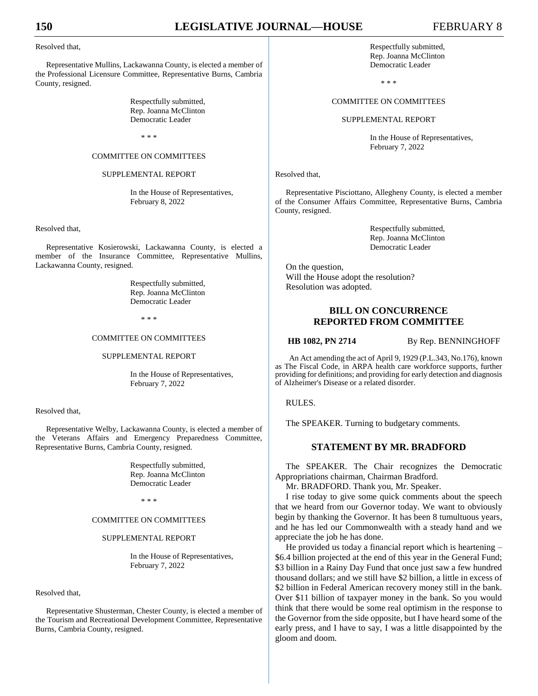#### Resolved that,

Representative Mullins, Lackawanna County, is elected a member of the Professional Licensure Committee, Representative Burns, Cambria County, resigned.

> Respectfully submitted, Rep. Joanna McClinton Democratic Leader

> > \* \* \*

#### COMMITTEE ON COMMITTEES

#### SUPPLEMENTAL REPORT

In the House of Representatives, February 8, 2022

Resolved that,

Representative Kosierowski, Lackawanna County, is elected a member of the Insurance Committee, Representative Mullins, Lackawanna County, resigned.

> Respectfully submitted, Rep. Joanna McClinton Democratic Leader

> > \* \* \*

#### COMMITTEE ON COMMITTEES

#### SUPPLEMENTAL REPORT

In the House of Representatives, February 7, 2022

#### Resolved that,

Representative Welby, Lackawanna County, is elected a member of the Veterans Affairs and Emergency Preparedness Committee, Representative Burns, Cambria County, resigned.

> Respectfully submitted, Rep. Joanna McClinton Democratic Leader

> > \* \* \*

#### COMMITTEE ON COMMITTEES

#### SUPPLEMENTAL REPORT

In the House of Representatives, February 7, 2022

#### Resolved that,

Representative Shusterman, Chester County, is elected a member of the Tourism and Recreational Development Committee, Representative Burns, Cambria County, resigned.

Respectfully submitted, Rep. Joanna McClinton Democratic Leader

\* \* \*

#### COMMITTEE ON COMMITTEES

SUPPLEMENTAL REPORT

In the House of Representatives, February 7, 2022

Resolved that,

Representative Pisciottano, Allegheny County, is elected a member of the Consumer Affairs Committee, Representative Burns, Cambria County, resigned.

> Respectfully submitted, Rep. Joanna McClinton Democratic Leader

On the question, Will the House adopt the resolution? Resolution was adopted.

# **BILL ON CONCURRENCE REPORTED FROM COMMITTEE**

**HB 1082, PN 2714** By Rep. BENNINGHOFF

An Act amending the act of April 9, 1929 (P.L.343, No.176), known as The Fiscal Code, in ARPA health care workforce supports, further providing for definitions; and providing for early detection and diagnosis of Alzheimer's Disease or a related disorder.

RULES.

The SPEAKER. Turning to budgetary comments.

# **STATEMENT BY MR. BRADFORD**

The SPEAKER. The Chair recognizes the Democratic Appropriations chairman, Chairman Bradford.

Mr. BRADFORD. Thank you, Mr. Speaker.

I rise today to give some quick comments about the speech that we heard from our Governor today. We want to obviously begin by thanking the Governor. It has been 8 tumultuous years, and he has led our Commonwealth with a steady hand and we appreciate the job he has done.

He provided us today a financial report which is heartening – \$6.4 billion projected at the end of this year in the General Fund; \$3 billion in a Rainy Day Fund that once just saw a few hundred thousand dollars; and we still have \$2 billion, a little in excess of \$2 billion in Federal American recovery money still in the bank. Over \$11 billion of taxpayer money in the bank. So you would think that there would be some real optimism in the response to the Governor from the side opposite, but I have heard some of the early press, and I have to say, I was a little disappointed by the gloom and doom.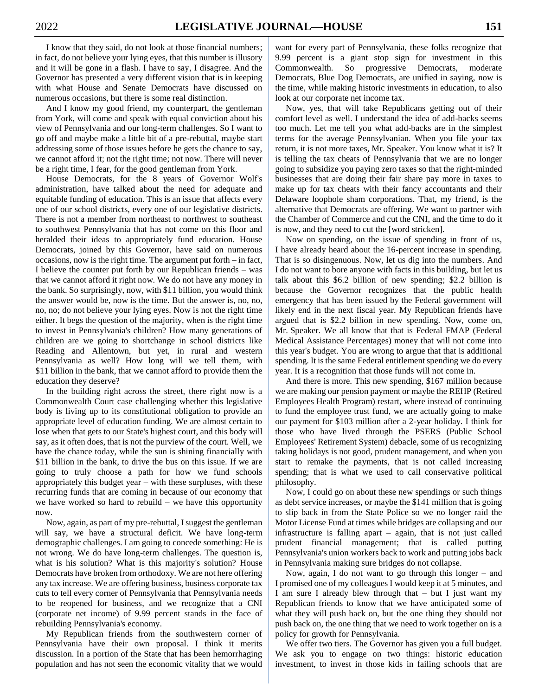I know that they said, do not look at those financial numbers; in fact, do not believe your lying eyes, that this number is illusory and it will be gone in a flash. I have to say, I disagree. And the Governor has presented a very different vision that is in keeping with what House and Senate Democrats have discussed on numerous occasions, but there is some real distinction.

And I know my good friend, my counterpart, the gentleman from York, will come and speak with equal conviction about his view of Pennsylvania and our long-term challenges. So I want to go off and maybe make a little bit of a pre-rebuttal, maybe start addressing some of those issues before he gets the chance to say, we cannot afford it; not the right time; not now. There will never be a right time, I fear, for the good gentleman from York.

House Democrats, for the 8 years of Governor Wolf's administration, have talked about the need for adequate and equitable funding of education. This is an issue that affects every one of our school districts, every one of our legislative districts. There is not a member from northeast to northwest to southeast to southwest Pennsylvania that has not come on this floor and heralded their ideas to appropriately fund education. House Democrats, joined by this Governor, have said on numerous occasions, now is the right time. The argument put forth – in fact, I believe the counter put forth by our Republican friends – was that we cannot afford it right now. We do not have any money in the bank. So surprisingly, now, with \$11 billion, you would think the answer would be, now is the time. But the answer is, no, no, no, no; do not believe your lying eyes. Now is not the right time either. It begs the question of the majority, when is the right time to invest in Pennsylvania's children? How many generations of children are we going to shortchange in school districts like Reading and Allentown, but yet, in rural and western Pennsylvania as well? How long will we tell them, with \$11 billion in the bank, that we cannot afford to provide them the education they deserve?

In the building right across the street, there right now is a Commonwealth Court case challenging whether this legislative body is living up to its constitutional obligation to provide an appropriate level of education funding. We are almost certain to lose when that gets to our State's highest court, and this body will say, as it often does, that is not the purview of the court. Well, we have the chance today, while the sun is shining financially with \$11 billion in the bank, to drive the bus on this issue. If we are going to truly choose a path for how we fund schools appropriately this budget year – with these surpluses, with these recurring funds that are coming in because of our economy that we have worked so hard to rebuild – we have this opportunity now.

Now, again, as part of my pre-rebuttal, I suggest the gentleman will say, we have a structural deficit. We have long-term demographic challenges. I am going to concede something: He is not wrong. We do have long-term challenges. The question is, what is his solution? What is this majority's solution? House Democrats have broken from orthodoxy. We are not here offering any tax increase. We are offering business, business corporate tax cuts to tell every corner of Pennsylvania that Pennsylvania needs to be reopened for business, and we recognize that a CNI (corporate net income) of 9.99 percent stands in the face of rebuilding Pennsylvania's economy.

My Republican friends from the southwestern corner of Pennsylvania have their own proposal. I think it merits discussion. In a portion of the State that has been hemorrhaging population and has not seen the economic vitality that we would

want for every part of Pennsylvania, these folks recognize that 9.99 percent is a giant stop sign for investment in this Commonwealth. So progressive Democrats, moderate Democrats, Blue Dog Democrats, are unified in saying, now is the time, while making historic investments in education, to also look at our corporate net income tax.

Now, yes, that will take Republicans getting out of their comfort level as well. I understand the idea of add-backs seems too much. Let me tell you what add-backs are in the simplest terms for the average Pennsylvanian. When you file your tax return, it is not more taxes, Mr. Speaker. You know what it is? It is telling the tax cheats of Pennsylvania that we are no longer going to subsidize you paying zero taxes so that the right-minded businesses that are doing their fair share pay more in taxes to make up for tax cheats with their fancy accountants and their Delaware loophole sham corporations. That, my friend, is the alternative that Democrats are offering. We want to partner with the Chamber of Commerce and cut the CNI, and the time to do it is now, and they need to cut the [word stricken].

Now on spending, on the issue of spending in front of us, I have already heard about the 16-percent increase in spending. That is so disingenuous. Now, let us dig into the numbers. And I do not want to bore anyone with facts in this building, but let us talk about this \$6.2 billion of new spending; \$2.2 billion is because the Governor recognizes that the public health emergency that has been issued by the Federal government will likely end in the next fiscal year. My Republican friends have argued that is \$2.2 billion in new spending. Now, come on, Mr. Speaker. We all know that that is Federal FMAP (Federal Medical Assistance Percentages) money that will not come into this year's budget. You are wrong to argue that that is additional spending. It is the same Federal entitlement spending we do every year. It is a recognition that those funds will not come in.

And there is more. This new spending, \$167 million because we are making our pension payment or maybe the REHP (Retired Employees Health Program) restart, where instead of continuing to fund the employee trust fund, we are actually going to make our payment for \$103 million after a 2-year holiday. I think for those who have lived through the PSERS (Public School Employees' Retirement System) debacle, some of us recognizing taking holidays is not good, prudent management, and when you start to remake the payments, that is not called increasing spending; that is what we used to call conservative political philosophy.

Now, I could go on about these new spendings or such things as debt service increases, or maybe the \$141 million that is going to slip back in from the State Police so we no longer raid the Motor License Fund at times while bridges are collapsing and our infrastructure is falling apart – again, that is not just called prudent financial management; that is called putting Pennsylvania's union workers back to work and putting jobs back in Pennsylvania making sure bridges do not collapse.

Now, again, I do not want to go through this longer – and I promised one of my colleagues I would keep it at 5 minutes, and I am sure I already blew through that – but I just want my Republican friends to know that we have anticipated some of what they will push back on, but the one thing they should not push back on, the one thing that we need to work together on is a policy for growth for Pennsylvania.

We offer two tiers. The Governor has given you a full budget. We ask you to engage on two things: historic education investment, to invest in those kids in failing schools that are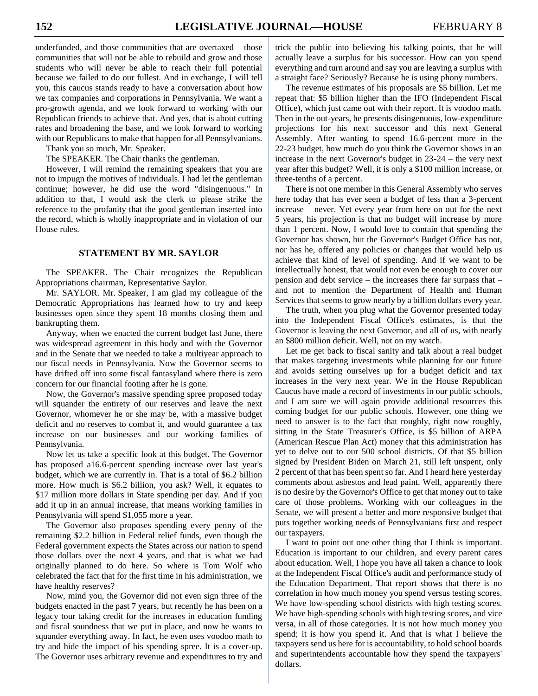underfunded, and those communities that are overtaxed – those communities that will not be able to rebuild and grow and those students who will never be able to reach their full potential because we failed to do our fullest. And in exchange, I will tell you, this caucus stands ready to have a conversation about how we tax companies and corporations in Pennsylvania. We want a pro-growth agenda, and we look forward to working with our Republican friends to achieve that. And yes, that is about cutting rates and broadening the base, and we look forward to working with our Republicans to make that happen for all Pennsylvanians.

Thank you so much, Mr. Speaker.

The SPEAKER. The Chair thanks the gentleman.

However, I will remind the remaining speakers that you are not to impugn the motives of individuals. I had let the gentleman continue; however, he did use the word "disingenuous." In addition to that, I would ask the clerk to please strike the reference to the profanity that the good gentleman inserted into the record, which is wholly inappropriate and in violation of our House rules.

# **STATEMENT BY MR. SAYLOR**

The SPEAKER. The Chair recognizes the Republican Appropriations chairman, Representative Saylor.

Mr. SAYLOR. Mr. Speaker, I am glad my colleague of the Democratic Appropriations has learned how to try and keep businesses open since they spent 18 months closing them and bankrupting them.

Anyway, when we enacted the current budget last June, there was widespread agreement in this body and with the Governor and in the Senate that we needed to take a multiyear approach to our fiscal needs in Pennsylvania. Now the Governor seems to have drifted off into some fiscal fantasyland where there is zero concern for our financial footing after he is gone.

Now, the Governor's massive spending spree proposed today will squander the entirety of our reserves and leave the next Governor, whomever he or she may be, with a massive budget deficit and no reserves to combat it, and would guarantee a tax increase on our businesses and our working families of Pennsylvania.

Now let us take a specific look at this budget. The Governor has proposed a16.6-percent spending increase over last year's budget, which we are currently in. That is a total of \$6.2 billion more. How much is \$6.2 billion, you ask? Well, it equates to \$17 million more dollars in State spending per day. And if you add it up in an annual increase, that means working families in Pennsylvania will spend \$1,055 more a year.

The Governor also proposes spending every penny of the remaining \$2.2 billion in Federal relief funds, even though the Federal government expects the States across our nation to spend those dollars over the next 4 years, and that is what we had originally planned to do here. So where is Tom Wolf who celebrated the fact that for the first time in his administration, we have healthy reserves?

Now, mind you, the Governor did not even sign three of the budgets enacted in the past 7 years, but recently he has been on a legacy tour taking credit for the increases in education funding and fiscal soundness that we put in place, and now he wants to squander everything away. In fact, he even uses voodoo math to try and hide the impact of his spending spree. It is a cover-up. The Governor uses arbitrary revenue and expenditures to try and

trick the public into believing his talking points, that he will actually leave a surplus for his successor. How can you spend everything and turn around and say you are leaving a surplus with a straight face? Seriously? Because he is using phony numbers.

The revenue estimates of his proposals are \$5 billion. Let me repeat that: \$5 billion higher than the IFO (Independent Fiscal Office), which just came out with their report. It is voodoo math. Then in the out-years, he presents disingenuous, low-expenditure projections for his next successor and this next General Assembly. After wanting to spend 16.6-percent more in the 22-23 budget, how much do you think the Governor shows in an increase in the next Governor's budget in 23-24 – the very next year after this budget? Well, it is only a \$100 million increase, or three-tenths of a percent.

There is not one member in this General Assembly who serves here today that has ever seen a budget of less than a 3-percent increase – never. Yet every year from here on out for the next 5 years, his projection is that no budget will increase by more than 1 percent. Now, I would love to contain that spending the Governor has shown, but the Governor's Budget Office has not, nor has he, offered any policies or changes that would help us achieve that kind of level of spending. And if we want to be intellectually honest, that would not even be enough to cover our pension and debt service – the increases there far surpass that – and not to mention the Department of Health and Human Services that seems to grow nearly by a billion dollars every year.

The truth, when you plug what the Governor presented today into the Independent Fiscal Office's estimates, is that the Governor is leaving the next Governor, and all of us, with nearly an \$800 million deficit. Well, not on my watch.

Let me get back to fiscal sanity and talk about a real budget that makes targeting investments while planning for our future and avoids setting ourselves up for a budget deficit and tax increases in the very next year. We in the House Republican Caucus have made a record of investments in our public schools, and I am sure we will again provide additional resources this coming budget for our public schools. However, one thing we need to answer is to the fact that roughly, right now roughly, sitting in the State Treasurer's Office, is \$5 billion of ARPA (American Rescue Plan Act) money that this administration has yet to delve out to our 500 school districts. Of that \$5 billion signed by President Biden on March 21, still left unspent, only 2 percent of that has been spent so far. And I heard here yesterday comments about asbestos and lead paint. Well, apparently there is no desire by the Governor's Office to get that money out to take care of those problems. Working with our colleagues in the Senate, we will present a better and more responsive budget that puts together working needs of Pennsylvanians first and respect our taxpayers.

I want to point out one other thing that I think is important. Education is important to our children, and every parent cares about education. Well, I hope you have all taken a chance to look at the Independent Fiscal Office's audit and performance study of the Education Department. That report shows that there is no correlation in how much money you spend versus testing scores. We have low-spending school districts with high testing scores. We have high-spending schools with high testing scores, and vice versa, in all of those categories. It is not how much money you spend; it is how you spend it. And that is what I believe the taxpayers send us here for is accountability, to hold school boards and superintendents accountable how they spend the taxpayers' dollars.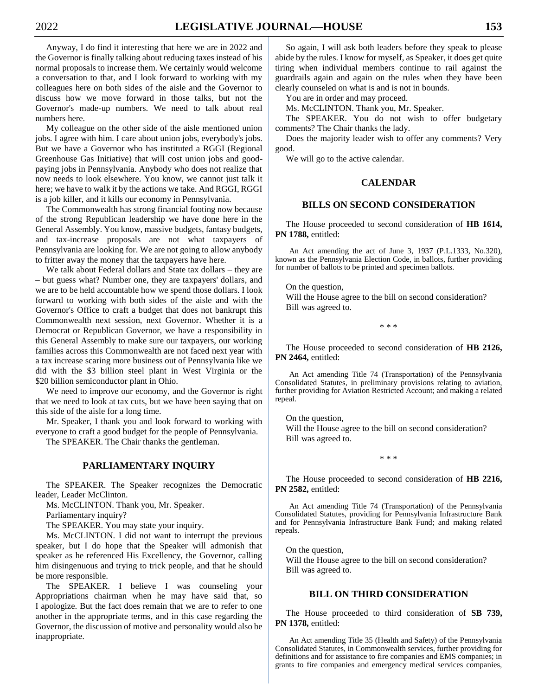Anyway, I do find it interesting that here we are in 2022 and the Governor is finally talking about reducing taxes instead of his normal proposals to increase them. We certainly would welcome a conversation to that, and I look forward to working with my colleagues here on both sides of the aisle and the Governor to discuss how we move forward in those talks, but not the Governor's made-up numbers. We need to talk about real numbers here.

My colleague on the other side of the aisle mentioned union jobs. I agree with him. I care about union jobs, everybody's jobs. But we have a Governor who has instituted a RGGI (Regional Greenhouse Gas Initiative) that will cost union jobs and goodpaying jobs in Pennsylvania. Anybody who does not realize that now needs to look elsewhere. You know, we cannot just talk it here; we have to walk it by the actions we take. And RGGI, RGGI is a job killer, and it kills our economy in Pennsylvania.

The Commonwealth has strong financial footing now because of the strong Republican leadership we have done here in the General Assembly. You know, massive budgets, fantasy budgets, and tax-increase proposals are not what taxpayers of Pennsylvania are looking for. We are not going to allow anybody to fritter away the money that the taxpayers have here.

We talk about Federal dollars and State tax dollars – they are – but guess what? Number one, they are taxpayers' dollars, and we are to be held accountable how we spend those dollars. I look forward to working with both sides of the aisle and with the Governor's Office to craft a budget that does not bankrupt this Commonwealth next session, next Governor. Whether it is a Democrat or Republican Governor, we have a responsibility in this General Assembly to make sure our taxpayers, our working families across this Commonwealth are not faced next year with a tax increase scaring more business out of Pennsylvania like we did with the \$3 billion steel plant in West Virginia or the \$20 billion semiconductor plant in Ohio.

We need to improve our economy, and the Governor is right that we need to look at tax cuts, but we have been saying that on this side of the aisle for a long time.

Mr. Speaker, I thank you and look forward to working with everyone to craft a good budget for the people of Pennsylvania.

The SPEAKER. The Chair thanks the gentleman.

# **PARLIAMENTARY INQUIRY**

The SPEAKER. The Speaker recognizes the Democratic leader, Leader McClinton.

Ms. McCLINTON. Thank you, Mr. Speaker.

Parliamentary inquiry?

The SPEAKER. You may state your inquiry.

Ms. McCLINTON. I did not want to interrupt the previous speaker, but I do hope that the Speaker will admonish that speaker as he referenced His Excellency, the Governor, calling him disingenuous and trying to trick people, and that he should be more responsible.

The SPEAKER. I believe I was counseling your Appropriations chairman when he may have said that, so I apologize. But the fact does remain that we are to refer to one another in the appropriate terms, and in this case regarding the Governor, the discussion of motive and personality would also be inappropriate.

So again, I will ask both leaders before they speak to please abide by the rules. I know for myself, as Speaker, it does get quite tiring when individual members continue to rail against the guardrails again and again on the rules when they have been clearly counseled on what is and is not in bounds.

You are in order and may proceed.

Ms. McCLINTON. Thank you, Mr. Speaker.

The SPEAKER. You do not wish to offer budgetary comments? The Chair thanks the lady.

Does the majority leader wish to offer any comments? Very good.

We will go to the active calendar.

#### **CALENDAR**

#### **BILLS ON SECOND CONSIDERATION**

The House proceeded to second consideration of **HB 1614, PN 1788,** entitled:

An Act amending the act of June 3, 1937 (P.L.1333, No.320), known as the Pennsylvania Election Code, in ballots, further providing for number of ballots to be printed and specimen ballots.

On the question, Will the House agree to the bill on second consideration? Bill was agreed to.

\* \* \*

The House proceeded to second consideration of **HB 2126, PN 2464,** entitled:

An Act amending Title 74 (Transportation) of the Pennsylvania Consolidated Statutes, in preliminary provisions relating to aviation, further providing for Aviation Restricted Account; and making a related repeal.

On the question, Will the House agree to the bill on second consideration? Bill was agreed to.

\* \* \*

The House proceeded to second consideration of **HB 2216, PN 2582,** entitled:

An Act amending Title 74 (Transportation) of the Pennsylvania Consolidated Statutes, providing for Pennsylvania Infrastructure Bank and for Pennsylvania Infrastructure Bank Fund; and making related repeals.

On the question, Will the House agree to the bill on second consideration? Bill was agreed to.

# **BILL ON THIRD CONSIDERATION**

The House proceeded to third consideration of **SB 739, PN 1378,** entitled:

An Act amending Title 35 (Health and Safety) of the Pennsylvania Consolidated Statutes, in Commonwealth services, further providing for definitions and for assistance to fire companies and EMS companies; in grants to fire companies and emergency medical services companies,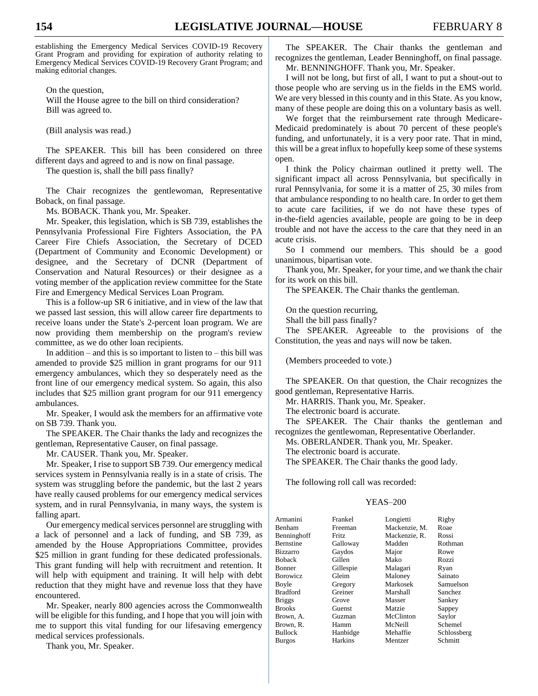establishing the Emergency Medical Services COVID-19 Recovery Grant Program and providing for expiration of authority relating to Emergency Medical Services COVID-19 Recovery Grant Program; and making editorial changes.

On the question,

Will the House agree to the bill on third consideration? Bill was agreed to.

(Bill analysis was read.)

The SPEAKER. This bill has been considered on three different days and agreed to and is now on final passage.

The question is, shall the bill pass finally?

The Chair recognizes the gentlewoman, Representative Boback, on final passage.

Ms. BOBACK. Thank you, Mr. Speaker.

Mr. Speaker, this legislation, which is SB 739, establishes the Pennsylvania Professional Fire Fighters Association, the PA Career Fire Chiefs Association, the Secretary of DCED (Department of Community and Economic Development) or designee, and the Secretary of DCNR (Department of Conservation and Natural Resources) or their designee as a voting member of the application review committee for the State Fire and Emergency Medical Services Loan Program.

This is a follow-up SR 6 initiative, and in view of the law that we passed last session, this will allow career fire departments to receive loans under the State's 2-percent loan program. We are now providing them membership on the program's review committee, as we do other loan recipients.

In addition – and this is so important to listen to – this bill was amended to provide \$25 million in grant programs for our 911 emergency ambulances, which they so desperately need as the front line of our emergency medical system. So again, this also includes that \$25 million grant program for our 911 emergency ambulances.

Mr. Speaker, I would ask the members for an affirmative vote on SB 739. Thank you.

The SPEAKER. The Chair thanks the lady and recognizes the gentleman, Representative Causer, on final passage.

Mr. CAUSER. Thank you, Mr. Speaker.

Mr. Speaker, I rise to support SB 739. Our emergency medical services system in Pennsylvania really is in a state of crisis. The system was struggling before the pandemic, but the last 2 years have really caused problems for our emergency medical services system, and in rural Pennsylvania, in many ways, the system is falling apart.

Our emergency medical services personnel are struggling with a lack of personnel and a lack of funding, and SB 739, as amended by the House Appropriations Committee, provides \$25 million in grant funding for these dedicated professionals. This grant funding will help with recruitment and retention. It will help with equipment and training. It will help with debt reduction that they might have and revenue loss that they have encountered.

Mr. Speaker, nearly 800 agencies across the Commonwealth will be eligible for this funding, and I hope that you will join with me to support this vital funding for our lifesaving emergency medical services professionals.

Thank you, Mr. Speaker.

The SPEAKER. The Chair thanks the gentleman and recognizes the gentleman, Leader Benninghoff, on final passage. Mr. BENNINGHOFF. Thank you, Mr. Speaker.

I will not be long, but first of all, I want to put a shout-out to those people who are serving us in the fields in the EMS world. We are very blessed in this county and in this State. As you know, many of these people are doing this on a voluntary basis as well.

We forget that the reimbursement rate through Medicare-Medicaid predominately is about 70 percent of these people's funding, and unfortunately, it is a very poor rate. That in mind, this will be a great influx to hopefully keep some of these systems open.

I think the Policy chairman outlined it pretty well. The significant impact all across Pennsylvania, but specifically in rural Pennsylvania, for some it is a matter of 25, 30 miles from that ambulance responding to no health care. In order to get them to acute care facilities, if we do not have these types of in-the-field agencies available, people are going to be in deep trouble and not have the access to the care that they need in an acute crisis.

So I commend our members. This should be a good unanimous, bipartisan vote.

Thank you, Mr. Speaker, for your time, and we thank the chair for its work on this bill.

The SPEAKER. The Chair thanks the gentleman.

On the question recurring,

Shall the bill pass finally?

The SPEAKER. Agreeable to the provisions of the Constitution, the yeas and nays will now be taken.

(Members proceeded to vote.)

The SPEAKER. On that question, the Chair recognizes the good gentleman, Representative Harris.

Mr. HARRIS. Thank you, Mr. Speaker.

The electronic board is accurate.

The SPEAKER. The Chair thanks the gentleman and recognizes the gentlewoman, Representative Oberlander.

Ms. OBERLANDER. Thank you, Mr. Speaker.

The electronic board is accurate.

The SPEAKER. The Chair thanks the good lady.

The following roll call was recorded:

#### YEAS–200

|              |                    | Rigby                      |
|--------------|--------------------|----------------------------|
|              |                    |                            |
|              |                    | Roae                       |
| <b>Fritz</b> | Mackenzie, R.      | Rossi                      |
| Galloway     | Madden             | Rothman                    |
| Gaydos       | Major              | Rowe                       |
| Gillen       | Mako               | Rozzi                      |
| Gillespie    | Malagari           | Ryan                       |
| Gleim        | Maloney            | Sainato                    |
| Gregory      | Markosek           | Samuelson                  |
| Greiner      | Marshall           | Sanchez                    |
| Grove        | Masser             | Sankey                     |
| Guenst       | Matzie             | Sappey                     |
| Guzman       | McClinton          | Saylor                     |
| Hamm         | McNeill            | Schemel                    |
| Hanbidge     | Mehaffie           | Schlossberg                |
| Harkins      | Mentzer            | Schmitt                    |
|              | Frankel<br>Freeman | Longietti<br>Mackenzie, M. |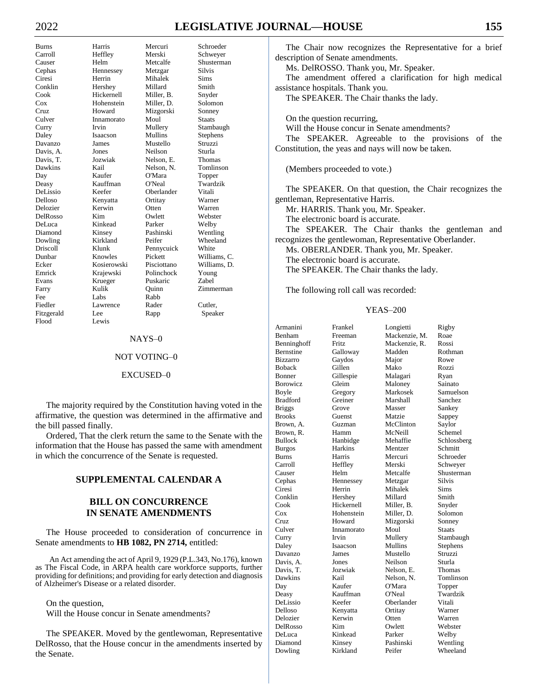# 2022 **LEGISLATIVE JOURNAL—HOUSE 155**

Davis, A. Flood Lewis

Burns Harris Mercuri Schroeder Carroll Heffley Merski Schweyer Causer Helm Metcalfe Shusterman Cephas Hennessey Metzgar Silvis Ciresi Herrin Mihalek Sims<br>Conklin Hershey Millard Smith Conklin Hershey Millard Smith Cook Hickernell Miller, B. Snyder Cox Hohenstein Miller, D. Solomon Cruz Howard Mizgorski Sonney Culver Innamorato Moul Staats Curry Irvin Mullery Stambaugh Daley Isaacson Mullins Stephens Values Mustello Struzz<br>
Jones Neilson Sturla Davis, T. Jozwiak Nelson, E. Thomas Dawkins Kail Nelson, N. Tomlinson Day Kaufer O'Mara Topper Deasy Kauffman O'Neal Twardzik DeLissio Keefer Oberlander Vitali Delloso Kenyatta Ortitay Warner Delozier Kerwin Otten Warren DelRosso Kim Owlett DeLuca Kinkead Parker Welby Diamond Kinsey Pashinski Wentling Dowling Kirkland Peifer Wheeland Driscoll Klunk Pennycuick White Dunbar Knowles Pickett Williams, C. Kosierowski Emrick Krajewski Polinchock Young Evans Krueger Puskaric Zabel Farry Kulik Quinn Zimmerman Fee Labs Rabb Fiedler Lawrence Rader Cutler, Fitzgerald Lee Rapp Speaker

#### NAYS–0

### NOT VOTING–0

#### EXCUSED–0

The majority required by the Constitution having voted in the affirmative, the question was determined in the affirmative and the bill passed finally.

Ordered, That the clerk return the same to the Senate with the information that the House has passed the same with amendment in which the concurrence of the Senate is requested.

# **SUPPLEMENTAL CALENDAR A**

# **BILL ON CONCURRENCE IN SENATE AMENDMENTS**

The House proceeded to consideration of concurrence in Senate amendments to **HB 1082, PN 2714,** entitled:

An Act amending the act of April 9, 1929 (P.L.343, No.176), known as The Fiscal Code, in ARPA health care workforce supports, further providing for definitions; and providing for early detection and diagnosis of Alzheimer's Disease or a related disorder.

On the question, Will the House concur in Senate amendments?

The SPEAKER. Moved by the gentlewoman, Representative DelRosso, that the House concur in the amendments inserted by the Senate.

The Chair now recognizes the Representative for a brief description of Senate amendments.

Ms. DelROSSO. Thank you, Mr. Speaker.

The amendment offered a clarification for high medical assistance hospitals. Thank you.

The SPEAKER. The Chair thanks the lady.

On the question recurring,

Will the House concur in Senate amendments?

The SPEAKER. Agreeable to the provisions of the Constitution, the yeas and nays will now be taken.

(Members proceeded to vote.)

The SPEAKER. On that question, the Chair recognizes the gentleman, Representative Harris.

Mr. HARRIS. Thank you, Mr. Speaker.

The electronic board is accurate.

The SPEAKER. The Chair thanks the gentleman and recognizes the gentlewoman, Representative Oberlander.

Ms. OBERLANDER. Thank you, Mr. Speaker.

The electronic board is accurate.

The SPEAKER. The Chair thanks the lady.

The following roll call was recorded:

#### YEAS–200

| Armanini        | Frankel      | Longietti     | Rigby         |
|-----------------|--------------|---------------|---------------|
| Benham          | Freeman      | Mackenzie, M. | Roae          |
| Benninghoff     | <b>Fritz</b> | Mackenzie, R. | Rossi         |
| Bernstine       | Galloway     | Madden        | Rothman       |
| <b>Bizzarro</b> | Gaydos       | Major         | Rowe          |
| <b>Boback</b>   | Gillen       | Mako          | Rozzi         |
| Bonner          | Gillespie    | Malagari      | Ryan          |
| Borowicz        | Gleim        | Maloney       | Sainato       |
| Boyle           | Gregory      | Markosek      | Samuelson     |
| <b>Bradford</b> | Greiner      | Marshall      | Sanchez       |
| <b>Briggs</b>   | Grove        | Masser        | Sankey        |
| <b>Brooks</b>   | Guenst       | Matzie        | Sappey        |
| Brown, A.       | Guzman       | McClinton     | Saylor        |
| Brown. R.       | Hamm         | McNeill       | Schemel       |
| <b>Bullock</b>  | Hanbidge     | Mehaffie      | Schlossberg   |
| <b>Burgos</b>   | Harkins      | Mentzer       | Schmitt       |
| Burns           | Harris       | Mercuri       | Schroeder     |
| Carroll         | Heffley      | Merski        | Schweyer      |
| Causer          | Helm         | Metcalfe      | Shusterman    |
| Cephas          | Hennessey    | Metzgar       | Silvis        |
| Ciresi          | Herrin       | Mihalek       | Sims          |
| Conklin         | Hershey      | Millard       | Smith         |
| Cook            | Hickernell   | Miller. B.    | Snyder        |
| $\cos$          | Hohenstein   | Miller, D.    | Solomon       |
| Cruz            | Howard       | Mizgorski     | Sonney        |
| Culver          | Innamorato   | Moul          | <b>Staats</b> |
| Curry           | Irvin        | Mullery       | Stambaugh     |
| Daley           | Isaacson     | Mullins       | Stephens      |
| Davanzo         | James        | Mustello      | Struzzi       |
| Davis, A.       | Jones        | Neilson       | Sturla        |
| Davis, T.       | Jozwiak      | Nelson, E.    | Thomas        |
| Dawkins         | Kail         | Nelson, N.    | Tomlinson     |
| Day             | Kaufer       | O'Mara        | Topper        |
| Deasy           | Kauffman     | O'Neal        | Twardzik      |
| DeLissio        | Keefer       | Oberlander    | Vitali        |
| Delloso         | Kenyatta     | Ortitay       | Warner        |
| Delozier        | Kerwin       | Otten         | Warren        |
| DelRosso        | Kim          | Owlett        | Webster       |
| DeLuca          | Kinkead      | Parker        | Welby         |
| Diamond         | Kinsey       | Pashinski     | Wentling      |
| Dowling         | Kirkland     | Peifer        | Wheeland      |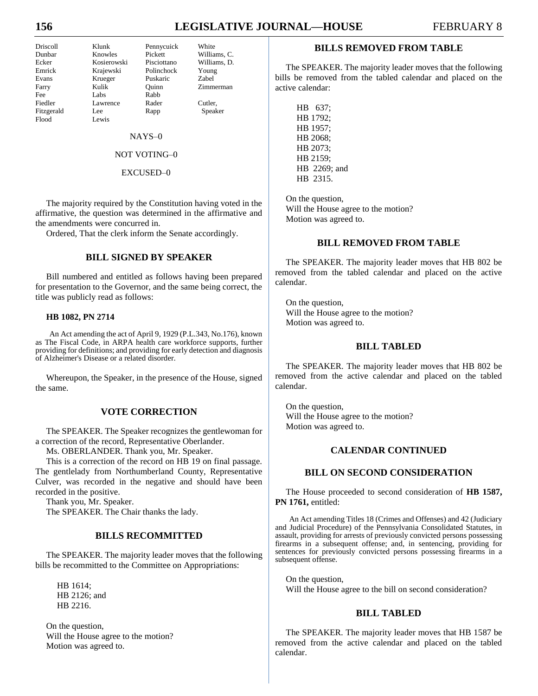# **156 LEGISLATIVE JOURNAL—HOUSE** FEBRUARY 8

Flood Lewis

Driscoll Klunk Pennycuick White Fee Labs Rabb

Dunbar Knowles Pickett Williams, C. Ecker Kosierowski Pisciottano Williams, D. Emrick Krajewski Polinchock Young Evans Krueger Puskaric Zabel<br>
Earry Kulik Ouinn Zimm Farry Kulik Quinn Zimmerman Fiedler Lawrence Rader Cutler, Fitzgerald Lee Rapp Speaker

NAYS–0

# NOT VOTING–0

### EXCUSED–0

The majority required by the Constitution having voted in the affirmative, the question was determined in the affirmative and the amendments were concurred in.

Ordered, That the clerk inform the Senate accordingly.

# **BILL SIGNED BY SPEAKER**

Bill numbered and entitled as follows having been prepared for presentation to the Governor, and the same being correct, the title was publicly read as follows:

#### **HB 1082, PN 2714**

An Act amending the act of April 9, 1929 (P.L.343, No.176), known as The Fiscal Code, in ARPA health care workforce supports, further providing for definitions; and providing for early detection and diagnosis of Alzheimer's Disease or a related disorder.

Whereupon, the Speaker, in the presence of the House, signed the same.

# **VOTE CORRECTION**

The SPEAKER. The Speaker recognizes the gentlewoman for a correction of the record, Representative Oberlander.

Ms. OBERLANDER. Thank you, Mr. Speaker.

This is a correction of the record on HB 19 on final passage. The gentlelady from Northumberland County, Representative Culver, was recorded in the negative and should have been recorded in the positive.

Thank you, Mr. Speaker. The SPEAKER. The Chair thanks the lady.

# **BILLS RECOMMITTED**

The SPEAKER. The majority leader moves that the following bills be recommitted to the Committee on Appropriations:

HB 1614; HB 2126; and HB 2216.

On the question, Will the House agree to the motion? Motion was agreed to.

# **BILLS REMOVED FROM TABLE**

The SPEAKER. The majority leader moves that the following bills be removed from the tabled calendar and placed on the active calendar:

HB 637; HB 1792; HB 1957; HB 2068; HB 2073; HB 2159; HB 2269; and HB 2315.

On the question, Will the House agree to the motion? Motion was agreed to.

# **BILL REMOVED FROM TABLE**

The SPEAKER. The majority leader moves that HB 802 be removed from the tabled calendar and placed on the active calendar.

On the question, Will the House agree to the motion? Motion was agreed to.

### **BILL TABLED**

The SPEAKER. The majority leader moves that HB 802 be removed from the active calendar and placed on the tabled calendar.

On the question, Will the House agree to the motion? Motion was agreed to.

# **CALENDAR CONTINUED**

# **BILL ON SECOND CONSIDERATION**

The House proceeded to second consideration of **HB 1587, PN 1761,** entitled:

An Act amending Titles 18 (Crimes and Offenses) and 42 (Judiciary and Judicial Procedure) of the Pennsylvania Consolidated Statutes, in assault, providing for arrests of previously convicted persons possessing firearms in a subsequent offense; and, in sentencing, providing for sentences for previously convicted persons possessing firearms in a subsequent offense.

On the question, Will the House agree to the bill on second consideration?

# **BILL TABLED**

The SPEAKER. The majority leader moves that HB 1587 be removed from the active calendar and placed on the tabled calendar.